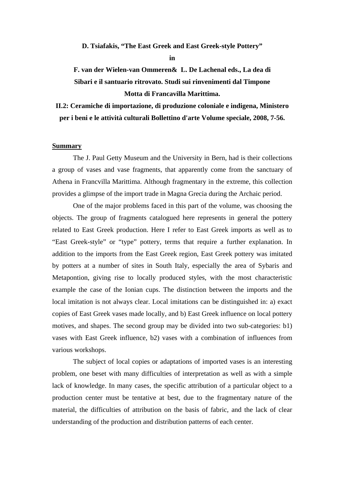**D. Tsiafakis, "The East Greek and East Greek-style Pottery"** 

**in** 

**F. van der Wielen-van Ommeren& L. De Lachenal eds., La dea di Sibari e il santuario ritrovato. Studi sui rinvenimenti dal Timpone Motta di Francavilla Marittima.** 

**II.2: Ceramiche di importazione, di produzione coloniale e indigena, Ministero per i beni e le attività culturali Bollettino d'arte Volume speciale, 2008, 7-56.** 

## **Summary**

The J. Paul Getty Museum and the University in Bern, had is their collections a group of vases and vase fragments, that apparently come from the sanctuary of Athena in Francvilla Marittima. Although fragmentary in the extreme, this collection provides a glimpse of the import trade in Magna Grecia during the Archaic period.

One of the major problems faced in this part of the volume, was choosing the objects. The group of fragments catalogued here represents in general the pottery related to East Greek production. Here I refer to East Greek imports as well as to "East Greek-style" or "type" pottery, terms that require a further explanation. In addition to the imports from the East Greek region, East Greek pottery was imitated by potters at a number of sites in South Italy, especially the area of Sybaris and Metapontion, giving rise to locally produced styles, with the most characteristic example the case of the Ionian cups. The distinction between the imports and the local imitation is not always clear. Local imitations can be distinguished in: a) exact copies of East Greek vases made locally, and b) East Greek influence on local pottery motives, and shapes. The second group may be divided into two sub-categories: b1) vases with East Greek influence, b2) vases with a combination of influences from various workshops.

The subject of local copies or adaptations of imported vases is an interesting problem, one beset with many difficulties of interpretation as well as with a simple lack of knowledge. In many cases, the specific attribution of a particular object to a production center must be tentative at best, due to the fragmentary nature of the material, the difficulties of attribution on the basis of fabric, and the lack of clear understanding of the production and distribution patterns of each center.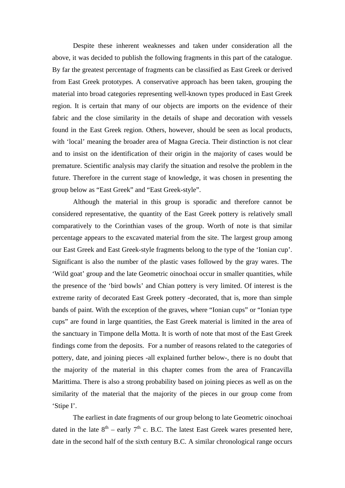Despite these inherent weaknesses and taken under consideration all the above, it was decided to publish the following fragments in this part of the catalogue. By far the greatest percentage of fragments can be classified as East Greek or derived from East Greek prototypes. A conservative approach has been taken, grouping the material into broad categories representing well-known types produced in East Greek region. It is certain that many of our objects are imports on the evidence of their fabric and the close similarity in the details of shape and decoration with vessels found in the East Greek region. Others, however, should be seen as local products, with 'local' meaning the broader area of Magna Grecia. Their distinction is not clear and to insist on the identification of their origin in the majority of cases would be premature. Scientific analysis may clarify the situation and resolve the problem in the future. Therefore in the current stage of knowledge, it was chosen in presenting the group below as "East Greek" and "East Greek-style".

Although the material in this group is sporadic and therefore cannot be considered representative, the quantity of the East Greek pottery is relatively small comparatively to the Corinthian vases of the group. Worth of note is that similar percentage appears to the excavated material from the site. The largest group among our East Greek and East Greek-style fragments belong to the type of the 'Ionian cup'. Significant is also the number of the plastic vases followed by the gray wares. The 'Wild goat' group and the late Geometric oinochoai occur in smaller quantities, while the presence of the 'bird bowls' and Chian pottery is very limited. Of interest is the extreme rarity of decorated East Greek pottery -decorated, that is, more than simple bands of paint. With the exception of the graves, where "Ionian cups" or "Ionian type cups" are found in large quantities, the East Greek material is limited in the area of the sanctuary in Timpone della Motta. It is worth of note that most of the East Greek findings come from the deposits. For a number of reasons related to the categories of pottery, date, and joining pieces -all explained further below-, there is no doubt that the majority of the material in this chapter comes from the area of Francavilla Marittima. There is also a strong probability based on joining pieces as well as on the similarity of the material that the majority of the pieces in our group come from 'Stipe I'.

The earliest in date fragments of our group belong to late Geometric oinochoai dated in the late  $8<sup>th</sup>$  – early  $7<sup>th</sup>$  c. B.C. The latest East Greek wares presented here, date in the second half of the sixth century B.C. A similar chronological range occurs